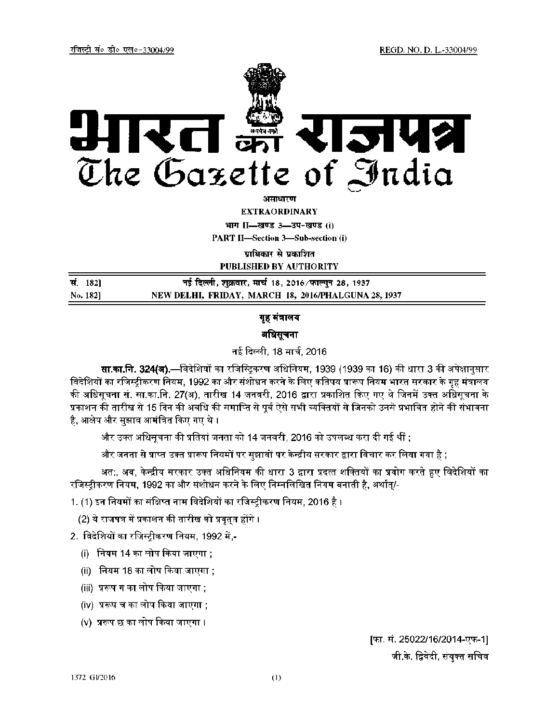

असाधार**ण** 

**EXTRAORDINARY** 

**HKKX II—[K.M 3—MI&[K. M (i)** 

**PART II—Section 3—Sub-section (i)** 

**पाधिकार से प्रका**शित

**PUBLISHED BY AUTHORITY** 

| सं. 182] | नई दिल्ली, शुक्रवार, मार्च 18, 2016 ∕फाल्गुन 28, 1937 |
|----------|-------------------------------------------------------|
| No. 182] | NEW DELHI, FRIDAY, MARCH 18, 2016/PHALGUNA 28, 1937   |

# गृह मंत्रालय

# अधिसूचना

नई दिल्ली, 18 मार्च, 2016

**सा.का.नि. 324(ब).—विदेशियों का रजिस्टिकरण अधिनियम, 1939 (1939 का 16) की धारा 3 की अपेक्षानुसार** विदेशियों का रजिस्ट्रीकरण नियम, 1992 का और संशोधन करने के लिए कतिपय प्रारूप नियम भारत सरकार के गृह मंत्रालय की अधिसूचना सं. सा.का.नि. 27(अ), तारीख 14 जनवरी, 2016 द्वारा प्रकाशित किए गए थे जिनमें उक्त अधिसूचना के प्रकाशन की तारीख से 15 दिन की अवधि की समाप्ति से पूर्व ऐसे सभी व्यक्तियों से जिनको उनसे प्रभावित होने की संभावना है, आक्षेप और सुझाव आमंत्रित किए गए थे ।

और उक्त अधिमूचना की प्रतियां जनता को 14 जनवरी, 2016 को उपलब्ध करा दी गई थीं ;

और जनता से प्राप्त उक्त प्रारूप नियमों पर सुझावों पर केन्द्रीय सरकार द्वारा विचार कर लिया गया है ;

अत:, अब, केन्द्रीय सरकार उक्त अधिनियम की धारा 3 द्वारा प्रदत्त शक्तियों का प्रयोग करते हुए विदेशियों का रजिस्ट्रीकरण नियम, 1992 का और संशोधन करने के लिए निम्नलिखित नियम बनाती है, अर्थात्/-

1. (1) इन नियमों का संक्षिप्त नाम विदेशियों का रजिस्ट्रीकरण नियम, 2016 है ।

(2) ये राजपत्र में प्रकाशन की तारीख को प्रवृत्**त होंगे** ।

2. विदेशियों का रजिस्टीकरण नियम, 1992 में,-

- $(i)$  नियम 14 का लोप किया जाएगा ;
- (ii) नियम 18 का लोप किया जाएगा ;
- (iii) प्ररूप ग का लोप किया जाएगा ;
- (iv) प्ररूप च का लोप किया जाएगा :
- $(V)$  प्ररूप छ का लोप किया जाएगा ।

[फा. सं. 25022/16/2014-एफ-1] जी.के. द्विवेदी, संयुक्त सचिव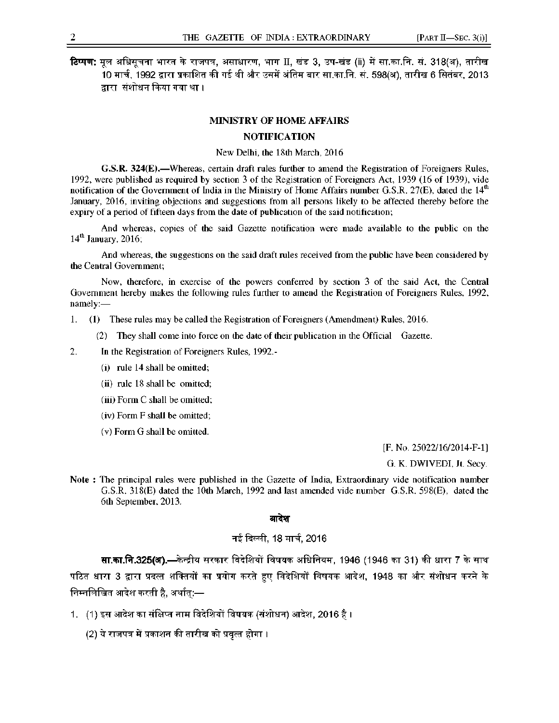$f$ टिप्पण: मल अधिसूचना भारत के राजपत्र, असाधारण, भाग II, खंड 3, उप-खंड (ii) में सा.का.नि. सं. 318(अ), तारीख 10 मार्च, 1992 द्वारा प्रकाशित की गई थी और उसमें अंतिम बार सा.का.नि. सं. 598(अ), तारीख 6 सितंबर, 2013 द्वारा संशोधन किया गया था ।

### **MINISTRY OF HOME AFFAIRS**

## **NOTIFICATION**

New Delhi, the 18th March, 2016

**G.S.R. 324(E).—**Whereas, certain draft rules further to amend the Registration of Foreigners Rules, 1992, were published as required by section 3 of the Registration of Foreigners Act, 1939 (16 of 1939), vide notification of the Government of India in the Ministry of Home Affairs number G.S.R. 27(E), dated the  $14<sup>th</sup>$ January, 2016, inviting objections and suggestions from all persons likely to be affected thereby before the expiry of a period of fifteen days from the date of publication of the said notification;

And whereas, copies of the said Gazette notification were made available to the public on the 14<sup>th</sup> January, 2016;

And whereas, the suggestions on the said draft rules received from the public have been considered by the Central Government;

Now, therefore, in exercise of the powers conferred by section 3 of the said Act, the Central Government hereby makes the following rules further to amend the Registration of Foreigners Rules, 1992, namely:—

1. (1) These rules may be called the Registration of Foreigners (Amendment) Rules, 2016.

(2) They shall come into force on the date of their publication in the Official Gazette.

2. In the Registration of Foreigners Rules, 1992.-

- (i) rule 14 shall be omitted;
- (ii) rule 18 shall be omitted;
- (iii) Form C shall be omitted;
- (iv) Form F shall be omitted;
- (v) Form G shall be omitted.

[F. No. 25022/16/2014-F-1]

G. K. DWIVEDI, Jt. Secy.

**Note :** The principal rules were published in the Gazette of India, Extraordinary vide notification number G.S.R. 318(E) dated the 10th March, 1992 and last amended vide number G.S.R. 598(E), dated the 6th September, 2013.

#### आदेश

# नई दिल्ली, 18 मार्च, 2016

 $\overline{\textbf{r}}$ **.**  $\overline{\textbf{r}}$ **.325(अ).—केन्द्रीय सरकार विदेशियों विषयक अधिनियम, 1946 (1946 का 31) की धारा 7 के साथ** पठित धारा 3 द्वारा प्रदत्त शक्तियों का प्रयोग करते हुए विदेशियों विषयक आदेश, 1948 का और संशोधन करने के निम्नलिखित आदेश करती है, अर्थात्:—

- 1. (1) इस आदेश का संक्षिप्त नाम विदेशियों विषयक (संशोधन) आदेश, 2016 है ।
	- (2) ये राजपत्र में प्रकाशन की तारीख को प्रवृत्त होगा ।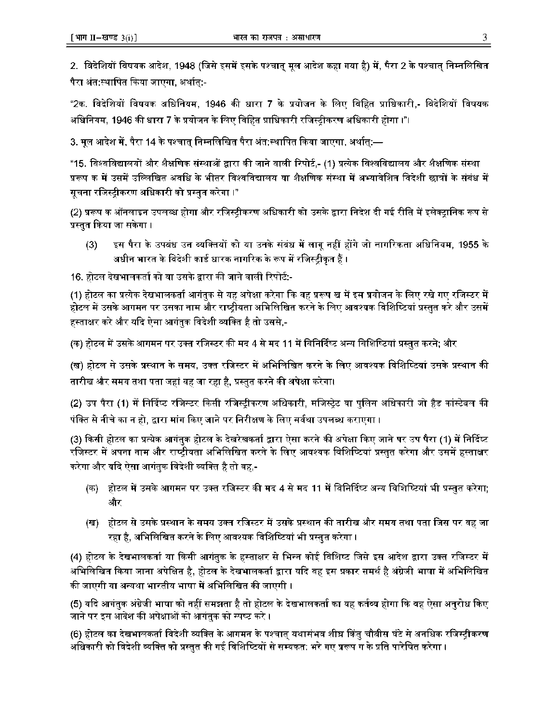2. विदेशियों विषयक आदेश, 1948 (जिसे इसमें इसके पश्चात् मूल आदेश कहा गया है) में, पैरा 2 के पश्चात् निम्नलिखित पैरा अंत:स्थापित किया जाएगा. अर्थात:-

"2क. विदेशियों विषयक अधिनियम, 1946 की धारा 7 के प्रयोजन के लिए विहित प्राधिकारी,- विदेशियों विषयक अधिनियम, 1946 की धारा 7 के प्रयोजन के लिए विहित प्राधिकारी रजिस्ट्रीकरण अधिकारी होगा ।"।

3. मूल आदेश में, पैरा 14 के पश्चात निम्नलिखित पैरा अंत:स्थापित किया जाएगा, अर्थात:—

"15. विश्वविद्यालयों और शैक्षणिक संस्थाओं द्वारा की जाने वाली रिपोर्ट,- (1) प्रत्येक विश्वविद्यालय और शैक्षणिक संस्था प्ररूप क में उसमें उल्लिखित अवधि के भीतर विश्वविद्यालय या शैक्षणिक संस्था में अभ्यावेशित विदेशी छात्रों के संबंध में सूचना रजिस्टीकरण अधिकारी को प्रस्तत करेगा ।"

(2) प्ररूप क ऑनलाइन उपलब्ध होगा और रजिस्टीकरण अधिकारी को उसके द्वारा निदेश दी गई रीति में इलेक्ट्रानिक रूप से प्रस्तत किया जा सकेगा ।

(3) हिस पैरा के उपबंध उन व्यक्तियों को या उनके संबंध में लागू नहीं होंगे जो नागरिकता अधिनियम, 1955 के अधीन भारत के विदेशी कार्ड धारक नागरिक के रूप में रजिस्ट्रीकृत हैं ।

16. होटल देखभालकर्ता को या उसके द्वारा की जाने वाली रिपोर्ट:-

(1) होटल का प्रत्येक देखभालकर्ता आगंतक से यह अपेक्षा करेगा कि वह प्ररूप ख में इस प्रयोजन के लिए रखे गए रजिस्टर में होटल में उसके आगमन पर उसका नाम और राष्ट्रीयता अभिलिखित करने के लिए आवश्यक विशिष्टियां प्रस्तुत करे और उस<mark>में</mark> हस्ताक्षर करे और यदि ऐसा आगंतुक विदेशी व्यक्ति है तो उससे,-

(क) होटल में उसके आगमन पर उक्त रजिस्टर की मद 4 से मद 11 में विनिर्दिष्ट अन्य विशिष्टियां प्रस्तुत करने; और

(ख) होटल से उसके प्रस्थान के समय, उक्त रजिस्टर में अभिलिखित करने के लिए आवश्यक विशिष्टियां उसके प्रस्थान की तारीख और समय तथा पता जहां वह जा रहा है, प्रस्तुत करने की अपेक्षा करेगा।

(2) उप पैरा (1) में निर्दिप्ट रजिस्टर किसी रजिस्ट्रीकरण अधिकारी, मजिस्ट्रेट या पुलिम अधिकारी जो हैड कांस्टेवल की पंक्ति से नीचे का न हो, द्वारा मांग किए जाने पर निरीक्षण के लिए सर्वथा उपलब्ध कराएगा ।

(3) किसी होटल का प्रत्येक आगंतक होटल के देखरेखकर्ता द्वारा ऐसा करने की अपेक्षा किए जाने पर उप पैरा (1) में निर्दिष्ट रजिस्टर में अपना नाम और राष्ट्रीयता अभिलिखित करने के लिए आवश्यक विशिष्टियां प्रस्तुत करेगा और उसमें हस्ताक्षर करेगा और यदि ऐसा आगंतुक विदेशी व्यक्ति है तो वह,-

- (क) होटल में उसके आगमन पर उक्त रजिस्टर की मद 4 से मद 11 में विनिर्दिष्ट अन्य विशिष्टियां भी प्रस्तुत करेगा;  $\langle\hat{R}^\dagger_{\rm T}T\rangle$
- (ख) होटल से उसके प्रस्थान के समय उक्त रजिस्टर में उसके प्रस्थान की तारीख और समय तथा पता जिस पर वह जा रहा है, अभिलिखित करने के लिए आवश्यक विशिष्टियां भी प्रस्तुत करेगा ।

 $\cdots$  f,  $\cdots$  f,  $\cdots$  $(4)$  हाटल के दखमालकता या किसा आगतुक के हस्तादार से ।मेरेन काश वाराय हैसे आदेश द्वारा उक्त राजस्टर में (स् अभिलिखित किया जाना अपेक्षित है, होटल के देखभालकर्ता द्वारा यदि वह इस प्रकार समर्थ है अंग्रेजी भाषा में अभिलिखित की जाएगी या अन्यथा भारतीय भाषा में अभिलिखित की जाएगी ।

(5) यदि आगंतुक अंग्रेजी भाषा को नहीं समझता है तो होटल के देखभालकर्ता का यह कर्तव्य होगा कि वह ऐसा अनुरोध किए जाने पर इस आदेश की अपेक्षाओं को आगंतुक को स्पष्ट करे ।

(6) होटल का देखभालकर्ता विदेशी व्यक्ति के आगमन के पश्चात् यथासंभव शीघ्र किंतु चौबीस घंटे से अनधिक रजिस्ट्रीकरण अधिकारी को विदेशी व्यक्ति को प्रस्तुत की गई विशिष्टियों से सम्यकत: भरे गए प्ररूप ग के प्रति पारेषित करेगा ।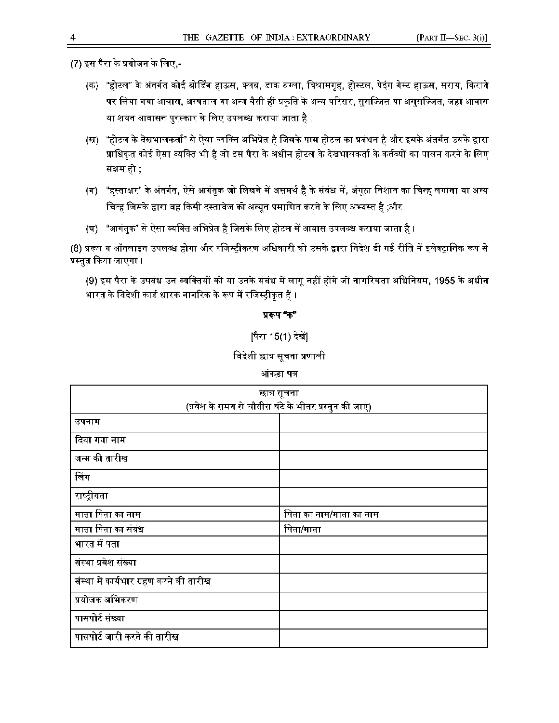$(7)$  इस पैरा के प्रयोजन के लिए,-

- (क) "होटल" के अंतर्गत कोई बोर्डिंग हाऊस, क्लब, डाक वंग्ला, विश्रामगृह, होस्टल, पेइंग गेस्ट हाऊस, सराय, किराये पर लिया गया आवास, अस्पताल या अन्य वैसी ही प्रकृति के अन्य परिसर, सुसज्जित या अ<mark>नुस</mark>ज्जित, जहां आवास या शयन आवासन पुरस्कार के लिए उपलब्ध कराया जाता है ;
- (ख) "होटल के देखभालकर्ता" से ऐसा व्यक्ति अभिप्रेत है जिसके पास होटल का प्रबंधन है और इसके अंतर्गत उसके द्वारा प्राधिकृत कोई ऐसा व्यक्ति भी है जो इस पैरा के अधीन होटल के देखभालकर्ता के कर्तव्यों का पालन करने के लिए  $\hat{M}$  and  $\hat{M}$  if  $\hat{M}$  is a real fraction sred from  $\hat{M}$  r  $\hat{M}$  and  $\hat{M}$  is  $\hat{M}$  and  $\hat{M}$  if  $\hat{M}$  is an interference of  $\hat{M}$  and  $\hat{M}$  is an interference of  $\hat{M}$  if  $\hat{M}$  is an interfer
- (ग) "हस्ताक्षर" के अंतर्गत, ऐसे आगंतुक जो लिखने में असमर्थ है के संवंध में, अंगूठा निशान का चिन्ह लगाना या अन्य चिन्ह जिसके द्वारा वह किसी दस्तावेज को अन्यून प्रमाणित करने के लिए अभ्यस्त है ;और
- (घ) "आगंतुक" से ऐसा व्यक्ति अभिप्रेत है जिसके लिए होटल में आवास उपलब्ध कराया जाता है ।

(8) प्ररूप ग ऑनलाइन उपलब्ध होगा और रजिस्ट्रीकरण अधिकारी को उसके द्वारा निदेश दी गई रीति में इलेक्ट्रानिक रूप से प्रस्तुत किया जाएगा ।

(9) इस पैरा के उपवंध उन व्यक्तियों को या उनके संबंध में लागू नहीं होंगे जो नागरिकता अधिनियम, 1955 के अधीन भारत के विदेशी कार्ड धारक नागरिक के रूप में रजिस्ट्रीकृत हैं ।

# $\Delta \sim \Delta T$  where  $\Delta T$  finally first denote the  $\Delta T$  finally state denote the state denote denote the state denote the state denote the state denote the state denote the state denote the state denote the state denote the

 $\mathbf{r}_\mathrm{max} = \mathbf{r}_\mathrm{max}$  f the  $\mathbf{r}_\mathrm{max}$  f  $\mathbf{r}_\mathrm{max}$  f  $\mathbf{r}_\mathrm{max}$  f  $\mathbf{r}_\mathrm{max}$ 

विदेशी छात्र सूचना प्रणाली

| छात्र सूचना                                           |                         |  |  |  |  |  |  |  |  |
|-------------------------------------------------------|-------------------------|--|--|--|--|--|--|--|--|
| (प्रवेश के समय से चौवीस घंटे के भीतर प्रस्तुत की जाए) |                         |  |  |  |  |  |  |  |  |
| उपनाम                                                 |                         |  |  |  |  |  |  |  |  |
| दिया गया नाम                                          |                         |  |  |  |  |  |  |  |  |
| जन्म की तारीख                                         |                         |  |  |  |  |  |  |  |  |
| लिंग                                                  |                         |  |  |  |  |  |  |  |  |
| राष्ट्रीयता                                           |                         |  |  |  |  |  |  |  |  |
| माता पिता का नाम                                      | पिता का नाम/माता का नाम |  |  |  |  |  |  |  |  |
| माता पिता का संबंध                                    | पिता/माता               |  |  |  |  |  |  |  |  |
| भारत में पता                                          |                         |  |  |  |  |  |  |  |  |
| संस्था प्रवेश संख्या                                  |                         |  |  |  |  |  |  |  |  |
| संस्था में कार्यभार ग्रहण करने की तारीख               |                         |  |  |  |  |  |  |  |  |
| प्रयोजक अभिकरण                                        |                         |  |  |  |  |  |  |  |  |
| पासपोर्ट संख्या                                       |                         |  |  |  |  |  |  |  |  |
| पासपोर्ट जारी करने की तारीख                           |                         |  |  |  |  |  |  |  |  |

आंकड़ा पत्र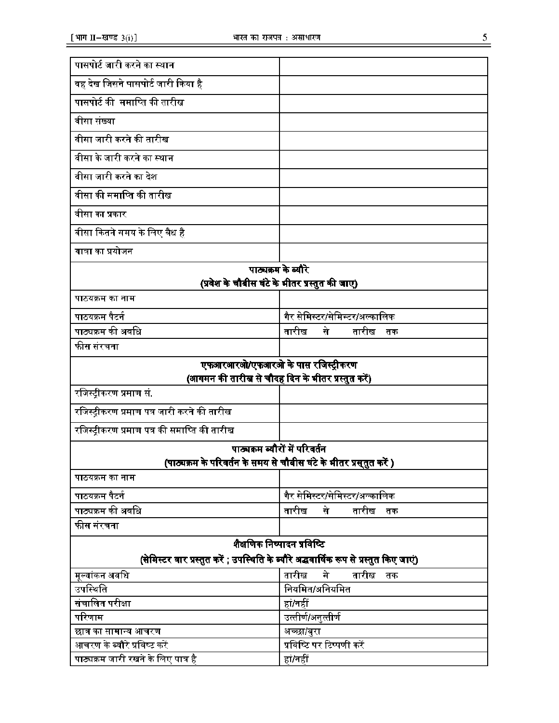|   | ٠        |  |
|---|----------|--|
| - | K,<br>۰. |  |

| पासपोर्ट जारी करने का स्थान                                         |                                                                                        |
|---------------------------------------------------------------------|----------------------------------------------------------------------------------------|
| वह देख जिसने पासपोर्ट जारी किया है                                  |                                                                                        |
| पासपोर्ट की  समाप्ति की तारीख                                       |                                                                                        |
| वीसा संख्या                                                         |                                                                                        |
| वीसा जारी करने की तारीख                                             |                                                                                        |
| वीसा के जारी करने का स्थान                                          |                                                                                        |
| वीसा जारी करने का देश                                               |                                                                                        |
| वीसा की समाप्ति की तारीख                                            |                                                                                        |
| वीसा का प्रकार                                                      |                                                                                        |
| वीसा कितने समय के लिए वैध है                                        |                                                                                        |
| यात्रा का प्रयोजन                                                   |                                                                                        |
|                                                                     | पाठ्यक्रम के ब्यौरे                                                                    |
|                                                                     | (प्रवेश के चौबीस घंटे के भीतर प्रस्तुत की जाए)                                         |
| पाठयक्रम का नाम                                                     |                                                                                        |
| पाठयक्रम पैटर्न                                                     | गैर सेमिस्टर/सेमिस्टर/अल्कालिक                                                         |
| पाठ्यक्रम की अवधि                                                   | तारीख<br>तारीख<br>से<br>तक                                                             |
| फीस संरचना                                                          |                                                                                        |
|                                                                     | एफआरआरओ/एफआरओ के पास रजिस्ट्रीकरण                                                      |
|                                                                     | (आगमन की तारीख से चौदह दिन के भीतर प्रस्तुत करें)                                      |
| रजिस्ट्रीकरण प्रमाण सं.                                             |                                                                                        |
| रजिस्ट्रीकरण प्रमाण पत्र जारी कर <mark>ने</mark> की तारीख           |                                                                                        |
| रजिस्ट्रीकरण प्रमाण पत्र की समाप्ति की तारीख                        |                                                                                        |
|                                                                     | पाठ्यक्रम ब्यौरों में परिवर्तन                                                         |
|                                                                     | (पाठ्यक्रम के परिवर्तन के समय से चौबीस घंटे के भीतर प्रस्तुत करें )                    |
| पाठयक्रम का नाम                                                     |                                                                                        |
| पाठयक्रम पैटर्न                                                     | गैर सेमिस्टर/सेमिस्टर/अल्कालिक                                                         |
| पाठ्यक्रम की अवधि                                                   | नारीख<br>से<br>तारीख<br>तक                                                             |
| फीस संरचना                                                          |                                                                                        |
|                                                                     | शैक्षणिक निष्पादन प्रविष्टि                                                            |
|                                                                     | (सेमिस्टर वार प्रस्तुत करें ; उपस्थिति के ब्यौरे अद्धवार्षिक रूप से प्रस्तुत किए जाएं) |
| मूल्यांकन अवधि                                                      | मे<br>तारीख<br>तारीख<br>तक                                                             |
| उपस्थिति                                                            | नियमित/अनियमित                                                                         |
| संचालित परीक्षा                                                     | हां/नहीं                                                                               |
| परिणाम                                                              | उत्तीर्ण/अनुत्तीर्ण                                                                    |
| छात्र का सामान्य आचरण                                               |                                                                                        |
|                                                                     | अच्छा/बुरा                                                                             |
| आचरण के ब्यौरे प्रविष्ट करें<br>पाठ्यक्रम जारी रखने के लिए पात्र है | प्रविष्टि पर टिप्पणी करें<br>हां/नहीं                                                  |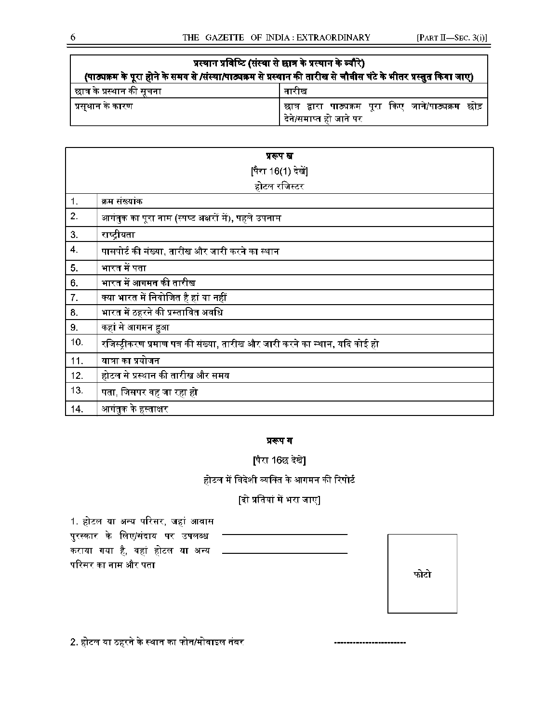| प्रस्थान प्रविष्टि (संस्था से छात्र के प्रस्थान के ब्यौरे) |                                                                                                                   |  |  |  |  |  |  |  |  |  |  |
|------------------------------------------------------------|-------------------------------------------------------------------------------------------------------------------|--|--|--|--|--|--|--|--|--|--|
|                                                            | (पाठ्यक्रम के पूरा होने के समय से /संस्था/पाठ्यक्रम से प्रस्थान की तारीख से चौबीस घंटे के भीतर प्रस्तुत किया जाए) |  |  |  |  |  |  |  |  |  |  |
| छात्र के प्रस्थान की सूचना                                 | तारीख                                                                                                             |  |  |  |  |  |  |  |  |  |  |
| ं प्रसुथान के कारण                                         | छात्र द्वारा पाठ्यक्रम पूरा किए जाने/पाठ्य <mark>क्रम</mark> छोड़<br>देने/समाप्त हो जाने पर                       |  |  |  |  |  |  |  |  |  |  |

|     | प्ररूप ख                                                                    |
|-----|-----------------------------------------------------------------------------|
|     | [पैरा 16(1) देखे]                                                           |
|     | होटल रजिस्टर                                                                |
| 1.  | क्रम संख्यांक                                                               |
| 2.  | आगंतुक का पूरा नाम (स्पष्ट अक्षरों में), पहले उपनाम                         |
| 3.  | राष्ट्रीयता                                                                 |
| 4.  | पासपोर्ट की संख्या, तारीख और जारी करने का स्थान                             |
| 5.  | भारत में पता                                                                |
| 6.  | भारत में आगमन की तारीख                                                      |
| 7.  | क्या भारत में नियोजित है हां या नहीं                                        |
| 8.  | भारत में ठहरने की प्रस्तावित अवधि                                           |
| 9.  | कहां से आगमन हुआ                                                            |
| 10. | रजिस्ट्रीकरण प्रमाण पत्र की संख्या, तारीख और जारी करने का स्थान, यदि कोई हो |
| 11. | यात्रा का प्रयोजन                                                           |
| 12. | होटल से प्रस्थान की तारीख और समय                                            |
| 13. | पता, जिसपर वह जा रहा हो                                                     |
| 14. | आगंतुक के हस्ताक्षर                                                         |

# प्ररूप ग

[पैरा 16छ देखें]

होटल में विदेशी व्यक्ति के आगमन की रिपोर्ट

# [दो प्रतियां में भरा जाए]

1. होटल या अन्य परिसर, जहां आवास पुरस्कार के लिए/संदाय <mark>प</mark>र उपलब्ध कराया गया है, वहां होटल <mark>या</mark> अन्य परिसर का नाम और पता



-------------------

2. होटल या ठहरने के स्थान का फोन/मोबाइल नंबर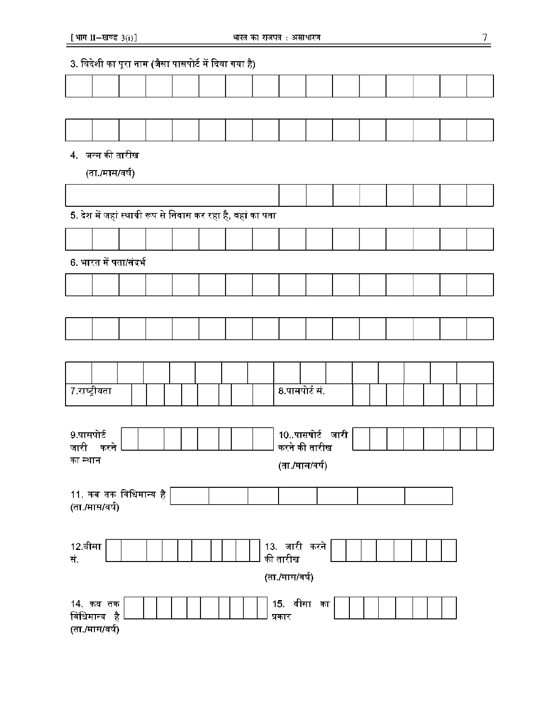# 3. विदेशी का पूरा नाम (जैसा पासपोर्ट में दिया गया है)

# 4. जन्म की तारीख

(ता./मास/वर्ष)

5. देश में जहां स्थायी रूप से निवास कर रहा है, वहां का पता 6. भारत में पता/संदर्भ 7.राष्ट्रीयता  $|| \t || \t || \t || \t || \t || \t || \t || \t || \t$ 8.पासपोर्ट सं. 10..पासपोर्ट जारी 9.पासपोर्ट करने की तारीख जारी करने का स्थान (ता./मास/वर्ष) 11. कब तक विधिमान्य है (ता./मास/वर्ष) 12.^TT 13. ^TTfl" ^ सं. (ता./मास/वर्ष) 14. कव तक $\begin{array}{|c|c|c|c|c|c|}\n\hline\n14. & \pi a & \pi \end{array}$ विधिमान्य है प्रकार (ता./मास/वर्ष)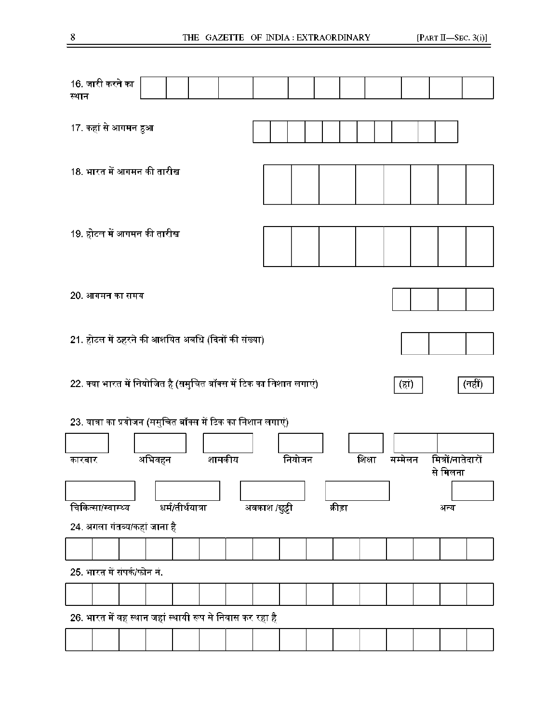| स्थान  | 16. जारी करने का                                                                      |        |                  |  |        |               |        |  |         |        |         |  |                               |  |
|--------|---------------------------------------------------------------------------------------|--------|------------------|--|--------|---------------|--------|--|---------|--------|---------|--|-------------------------------|--|
|        | 17. कहां से आगमन हुआ                                                                  |        |                  |  |        |               |        |  |         |        |         |  |                               |  |
|        | 18. भारत में आगमन की तारीख                                                            |        |                  |  |        |               |        |  |         |        |         |  |                               |  |
|        | 19. होटल में आगमन की तारीख                                                            |        |                  |  |        |               |        |  |         |        |         |  |                               |  |
|        | 20. आगमन का समय                                                                       |        |                  |  |        |               |        |  |         |        |         |  |                               |  |
|        | 21. होटल में ठहरने की आशयित अवधि (दिनों की संख्या)                                    |        |                  |  |        |               |        |  |         |        |         |  |                               |  |
|        | 22. क्या भारत में नियोजित है (समुचित बॉक्स में टिक का निशान लगाएं)<br>(नहीं)<br>(हां) |        |                  |  |        |               |        |  |         |        |         |  |                               |  |
|        |                                                                                       |        |                  |  |        |               |        |  |         |        |         |  |                               |  |
|        | 23. यात्रा का प्रयोजन (समुचित बॉक्स में टिक का निशान लगाएं)                           |        |                  |  |        |               |        |  |         |        |         |  |                               |  |
| कारबार |                                                                                       | अभिवहन |                  |  | शासकीय |               | नियोजन |  |         | शिक्षा | मम्मेलन |  | मित्रों/नातेदारों<br>से मिलना |  |
|        |                                                                                       |        |                  |  |        |               |        |  |         |        |         |  |                               |  |
|        | चिकित्सा/स्वास्थ्य                                                                    |        | धर्म/तीर्थयात्रा |  |        | अवकाश /छुट्टी |        |  | क्रीड़ा |        |         |  | अन्य                          |  |
|        | 24. अगला गंतव्य/कहां जाना है                                                          |        |                  |  |        |               |        |  |         |        |         |  |                               |  |
|        | 25. भारत में संपर्क/फोन नं.                                                           |        |                  |  |        |               |        |  |         |        |         |  |                               |  |
|        |                                                                                       |        |                  |  |        |               |        |  |         |        |         |  |                               |  |
|        | 26. भारत में वह स्थान जहां स्थायी रूप से निवास कर रहा है                              |        |                  |  |        |               |        |  |         |        |         |  |                               |  |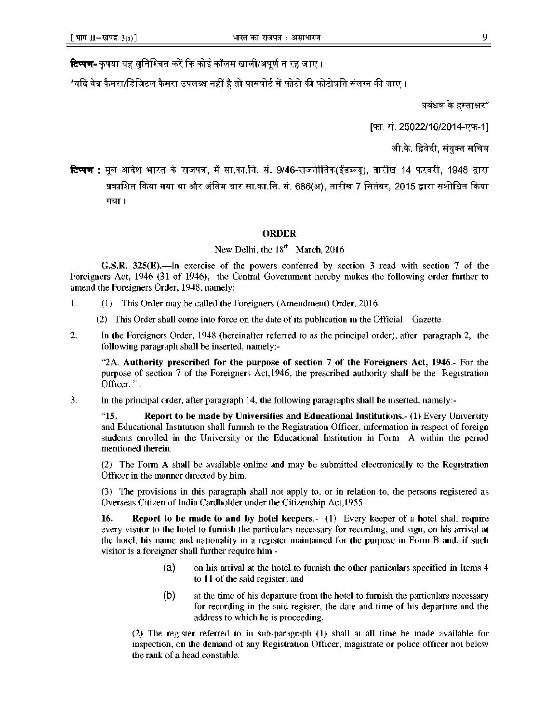**टिप्पण-** कृपया यह सुनिश्चित करें कि कोई कॉलम खाली/अपूर्ण न रह जाए ।

\*यदि वेब कैमरा/डिजिटल कैमरा उपलब्ध नहीं है तो पासपोर्ट में फोटो की फोटोप्रति संलग्न की जाए ।

प्रबंधक के हस्ताक्षर"

[फा. सं. 25022/16/2014-एफ-1]

जी.के. द्विवेदी, संयुक्त सचिव

**टिप्पण :** मूल आदेश भारत के राजपत्र, में सा.का.नि. सं. 9/46-राजनीतिक(ईडब्ल्यू), तारीख 14 फरवरी, 1948 द्वारा प्रकाशित किया गया था और अंतिम बार सा.का.नि. सं. 686(अ), तारीख 7 सितंबर, 2015 द्वारा संशोधित किया गया।

## **ORDER**

New Delhi, the  $18<sup>th</sup>$  March, 2016

**G.S.R. 325(E).—**In exercise of the powers conferred by section 3 read with section 7 of the Foreigners Act, 1946 (31 of 1946), the Central Government hereby makes the following order further to amend the Foreigners Order, 1948, namely:—

- 1. (1) This Order may be called the Foreigners (Amendment) Order, 2016.
	- (2) This Order shall come into force on the date of its publication in the Official Gazette.
- 2. In the Foreigners Order, 1948 (hereinafter referred to as the principal order), after paragraph 2, the following paragraph shall be inserted, namely:-

"2A. **Authority prescribed for the purpose of section 7 of the Foreigners Act, 1946**.- For the purpose of section 7 of the Foreigners Act,1946, the prescribed authority shall be the Registration Officer. " .

3. In the principal order, after paragraph 14, the following paragraphs shall be inserted, namely:-

"**15. Report to be made by Universities and Educational Institutions**.- (1) Every University and Educational Institution shall furnish to the Registration Officer, information in respect of foreign students enrolled in the University or the Educational Institution in Form A within the period mentioned therein.

(2) The Form A shall be available online and may be submitted electronically to the Registration Officer in the manner directed by him.

(3) The provisions in this paragraph shall not apply to, or in relation to, the persons registered as Overseas Citizen of India Cardholder under the Citizenship Act,1955.

**16. Report to be made to and by hotel keepers**.- (1) Every keeper of a hotel shall require every visitor to the hotel to furnish the particulars necessary for recording, and sign, on his arrival at the hotel, his name and nationality in a register maintained for the purpose in Form B and, if such visitor is a foreigner shall further require him -

- (A) on his arrival at the hotel to furnish the other particulars specified in Items 4 to 11 of the said register; and
- (B) at the time of his departure from the hotel to furnish the particulars necessary for recording in the said register, the date and time of his departure and the address to which he is proceeding.

(2) The register referred to in sub-paragraph (1) shall at all time be made available for inspection, on the demand of any Registration Officer, magistrate or police officer not below the rank of a head constable.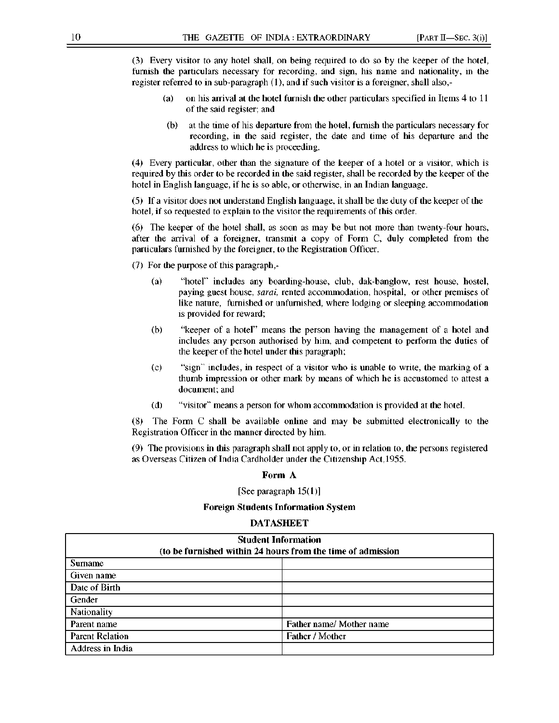(3) Every visitor to any hotel shall, on being required to do so by the keeper of the hotel, furnish the particulars necessary for recording, and sign, his name and nationality, in the register referred to in sub-paragraph (1), and if such visitor is a foreigner, shall also,-

- (a) on his arrival at the hotel furnish the other particulars specified in Items 4 to 11 of the said register; and
- (b) at the time of his departure from the hotel, furnish the particulars necessary for recording, in the said register, the date and time of his departure and the address to which he is proceeding.

(4) Every particular, other than the signature of the keeper of a hotel or a visitor, which is required by this order to be recorded in the said register, shall be recorded by the keeper of the hotel in English language, if he is so able, or otherwise, in an Indian language.

(5) If a visitor does not understand English language, it shall be the duty of the keeper of the hotel, if so requested to explain to the visitor the requirements of this order.

(6) The keeper of the hotel shall, as soon as may be but not more than twenty-four hours, after the arrival of a foreigner, transmit a copy of Form C, duly completed from the particulars furnished by the foreigner, to the Registration Officer.

(7) For the purpose of this paragraph,-

- (a) "hotel" includes any boarding-house, club, dak-banglow, rest house, hostel, paying guest house, *SARAI,* rented accommodation, hospital, or other premises of like nature, furnished or unfurnished, where lodging or sleeping accommodation is provided for reward;
- (b) "keeper of a hotel" means the person having the management of a hotel and includes any person authorised by him, and competent to perform the duties of the keeper of the hotel under this paragraph;
- (c) "sign" includes, in respect of a visitor who is unable to write, the marking of a thumb impression or other mark by means of which he is accustomed to attest a document; and
- (d) "visitor" means a person for whom accommodation is provided at the hotel.

(8) The Form C shall be available online and may be submitted electronically to the Registration Officer in the manner directed by him.

(9) The provisions in this paragraph shall not apply to, or in relation to, the persons registered as Overseas Citizen of India Cardholder under the Citizenship Act,1955.

#### **Form A**

[See paragraph 15(1)]

#### **Foreign Students Information System**

#### **DATASHEET**

| <b>Student Information</b><br>(to be furnished within 24 hours from the time of admission |                          |  |  |  |  |  |  |  |
|-------------------------------------------------------------------------------------------|--------------------------|--|--|--|--|--|--|--|
| <b>Sumame</b>                                                                             |                          |  |  |  |  |  |  |  |
| Given name                                                                                |                          |  |  |  |  |  |  |  |
| Date of Birth                                                                             |                          |  |  |  |  |  |  |  |
| Gender                                                                                    |                          |  |  |  |  |  |  |  |
| Nationality                                                                               |                          |  |  |  |  |  |  |  |
| Parent name                                                                               | Father name/ Mother name |  |  |  |  |  |  |  |
| Parent Relation                                                                           | Father / Mother          |  |  |  |  |  |  |  |
| Address in India                                                                          |                          |  |  |  |  |  |  |  |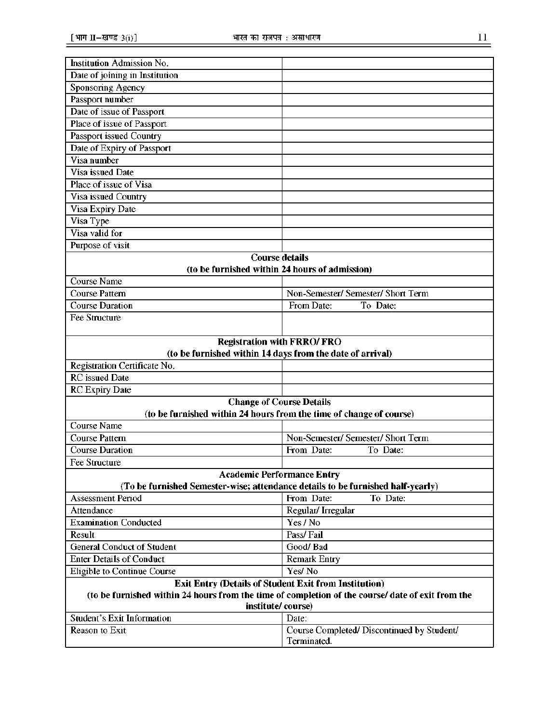| Institution Admission No.                                                                                                                                         |                                                           |
|-------------------------------------------------------------------------------------------------------------------------------------------------------------------|-----------------------------------------------------------|
| Date of joining in Institution                                                                                                                                    |                                                           |
| Sponsoring Agency                                                                                                                                                 |                                                           |
| Passport number                                                                                                                                                   |                                                           |
| Date of issue of Passport                                                                                                                                         |                                                           |
| Place of issue of Passport                                                                                                                                        |                                                           |
| Passport issued Country                                                                                                                                           |                                                           |
| Date of Expiry of Passport                                                                                                                                        |                                                           |
| Visa number                                                                                                                                                       |                                                           |
| Visa issued Date                                                                                                                                                  |                                                           |
| Place of issue of Visa                                                                                                                                            |                                                           |
| Visa issued Country                                                                                                                                               |                                                           |
| Visa Expiry Date                                                                                                                                                  |                                                           |
| Visa Type                                                                                                                                                         |                                                           |
| Visa valid for                                                                                                                                                    |                                                           |
| Purpose of visit                                                                                                                                                  |                                                           |
| <b>Course details</b>                                                                                                                                             |                                                           |
| (to be furnished within 24 hours of admission)                                                                                                                    |                                                           |
| Course Name                                                                                                                                                       |                                                           |
| <b>Course Pattern</b>                                                                                                                                             | Non-Semester/ Semester/ Short Term                        |
| <b>Course Duration</b>                                                                                                                                            | From Date:<br>To Date:                                    |
| Fee Structure                                                                                                                                                     |                                                           |
|                                                                                                                                                                   |                                                           |
| <b>Registration with FRRO/FRO</b>                                                                                                                                 |                                                           |
| (to be furnished within 14 days from the date of arrival)                                                                                                         |                                                           |
| Registration Certificate No.                                                                                                                                      |                                                           |
| <b>RC</b> issued Date                                                                                                                                             |                                                           |
| <b>RC</b> Expiry Date                                                                                                                                             |                                                           |
| <b>Change of Course Details</b>                                                                                                                                   |                                                           |
| (to be furnished within 24 hours from the time of change of course)                                                                                               |                                                           |
| <b>Course Name</b>                                                                                                                                                |                                                           |
| <b>Course Pattern</b>                                                                                                                                             | Non-Semester/ Semester/ Short Term                        |
| <b>Course Duration</b>                                                                                                                                            | From Date:<br>To Date:                                    |
| Fee Structure                                                                                                                                                     |                                                           |
| <b>Academic Performance Entry</b>                                                                                                                                 |                                                           |
| (To be furnished Semester-wise; attendance details to be furnished half-yearly)                                                                                   | From Date:<br>To Date:                                    |
| <b>Assessment Period</b>                                                                                                                                          |                                                           |
| Attendance                                                                                                                                                        | Regular/Irregular                                         |
| <b>Examination Conducted</b>                                                                                                                                      | Yes / No                                                  |
| Result                                                                                                                                                            | Pass/Fail                                                 |
| <b>General Conduct of Student</b>                                                                                                                                 | Good/Bad                                                  |
| <b>Enter Details of Conduct</b>                                                                                                                                   | <b>Remark Entry</b><br>Yes/No                             |
| Eligible to Continue Course                                                                                                                                       |                                                           |
| <b>Exit Entry (Details of Student Exit from Institution)</b><br>(to be furnished within 24 hours from the time of completion of the course/ date of exit from the |                                                           |
| institute/course)                                                                                                                                                 |                                                           |
| <b>Student's Exit Information</b>                                                                                                                                 | Date:                                                     |
| Reason to Exit                                                                                                                                                    | Course Completed/ Discontinued by Student/<br>Terminated. |
|                                                                                                                                                                   |                                                           |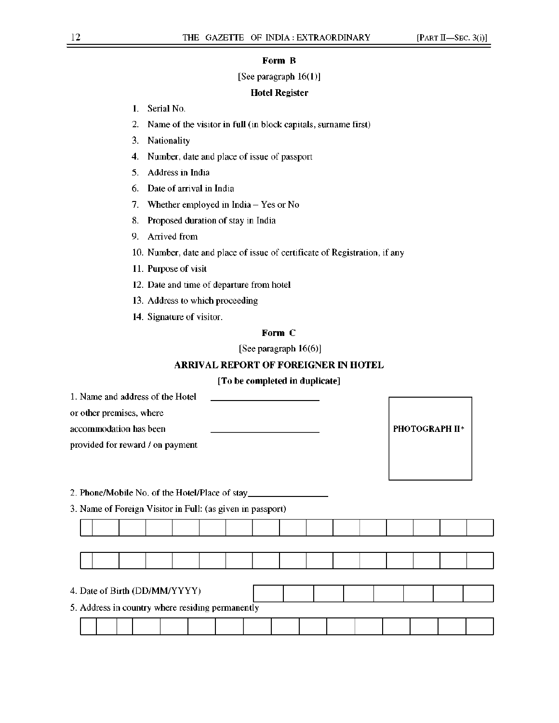#### **Form B**

### [See paragraph 16(1)]

## **Hotel Register**

- 1. Serial No.
- 2. Name of the visitor in full (in block capitals, surname first)
- 3. Nationality
- 4. Number, date and place of issue of passport
- 5. Address in India
- 6. Date of arrival in India
- 7. Whether employed in India Yes or No
- 8. Proposed duration of stay in India
- 9. Arrived from
- 10. Number, date and place of issue of certificate of Registration, if any
- 11. Purpose of visit
- 12. Date and time of departure from hotel
- 13. Address to which proceeding
- 14. Signature of visitor.

# **Form C**

[See paragraph 16(6)]

## **ARRIVAL REPORT OF FOREIGNER IN HOTEL**

# **[To be completed in duplicate]**

|  | 5. Address in country where residing permanently | 3. Name of Foreign Visitor in Full: (as given in passport) | 2. Phone/Mobile No. of the Hotel/Place of stay |  |  | PHOTOGRAPH II* |
|--|--------------------------------------------------|------------------------------------------------------------|------------------------------------------------|--|--|----------------|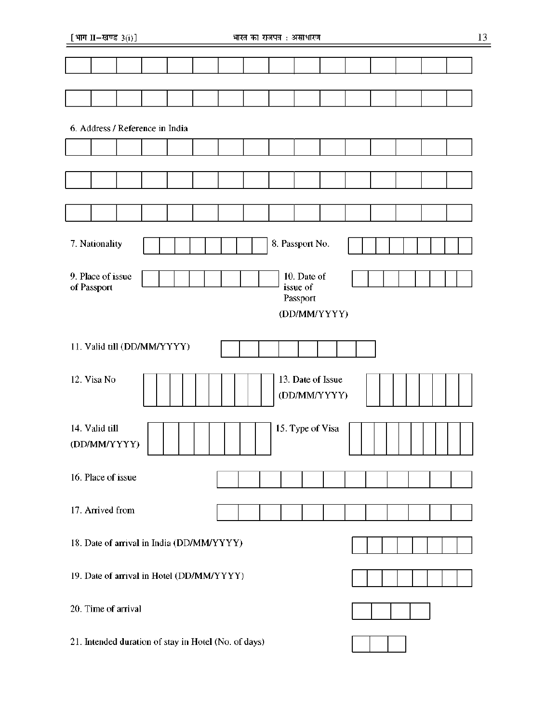[भाग  $II$ –खण्ड  $3(i)$ ]

| 6. Address / Reference in India                                                         |                                |  |  |                                           |  |  |  |  |                                   |  |  |  |  |
|-----------------------------------------------------------------------------------------|--------------------------------|--|--|-------------------------------------------|--|--|--|--|-----------------------------------|--|--|--|--|
|                                                                                         |                                |  |  |                                           |  |  |  |  |                                   |  |  |  |  |
|                                                                                         |                                |  |  |                                           |  |  |  |  |                                   |  |  |  |  |
|                                                                                         |                                |  |  |                                           |  |  |  |  |                                   |  |  |  |  |
|                                                                                         |                                |  |  |                                           |  |  |  |  |                                   |  |  |  |  |
|                                                                                         |                                |  |  |                                           |  |  |  |  |                                   |  |  |  |  |
|                                                                                         | 7. Nationality                 |  |  |                                           |  |  |  |  | 8. Passport No.                   |  |  |  |  |
| 9. Place of issue<br>10. Date of<br>issue of<br>of Passport<br>Passport<br>(DD/MM/YYYY) |                                |  |  |                                           |  |  |  |  |                                   |  |  |  |  |
|                                                                                         |                                |  |  |                                           |  |  |  |  |                                   |  |  |  |  |
|                                                                                         | 11. Valid till (DD/MM/YYYY)    |  |  |                                           |  |  |  |  |                                   |  |  |  |  |
|                                                                                         | 12. Visa No                    |  |  |                                           |  |  |  |  | 13. Date of Issue<br>(DD/MM/YYYY) |  |  |  |  |
|                                                                                         | 14. Valid till<br>(DD/MM/YYYY) |  |  |                                           |  |  |  |  | 15. Type of Visa                  |  |  |  |  |
|                                                                                         | 16. Place of issue             |  |  |                                           |  |  |  |  |                                   |  |  |  |  |
|                                                                                         | 17. Arrived from               |  |  |                                           |  |  |  |  |                                   |  |  |  |  |
|                                                                                         |                                |  |  | 18. Date of arrival in India (DD/MM/YYYY) |  |  |  |  |                                   |  |  |  |  |
|                                                                                         |                                |  |  | 19. Date of arrival in Hotel (DD/MM/YYYY) |  |  |  |  |                                   |  |  |  |  |
| 20. Time of arrival                                                                     |                                |  |  |                                           |  |  |  |  |                                   |  |  |  |  |
| 21. Intended duration of stay in Hotel (No. of days)                                    |                                |  |  |                                           |  |  |  |  |                                   |  |  |  |  |